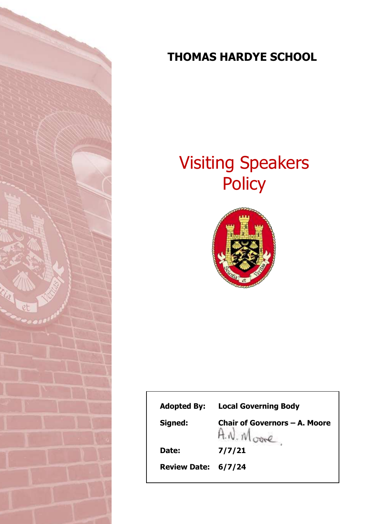

# **THOMAS HARDYE SCHOOL**

# Visiting Speakers **Policy**



| <b>Adopted By:</b>  | <b>Local Governing Body</b>   |
|---------------------|-------------------------------|
| Signed:             | Chair of Governors – A. Moore |
| Date:               | 7/7/21                        |
| Review Date: 6/7/24 |                               |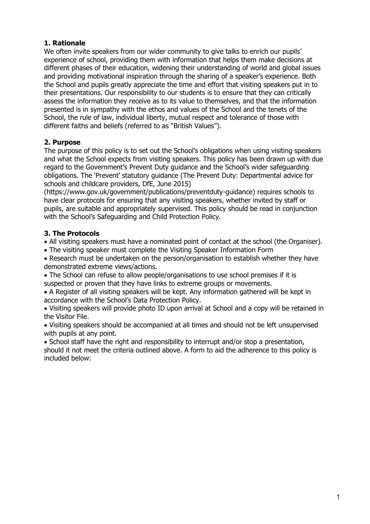#### **1. Rationale**

We often invite speakers from our wider community to give talks to enrich our pupils' experience of school, providing them with information that helps them make decisions at different phases of their education, widening their understanding of world and global issues and providing motivational inspiration through the sharing of a speaker's experience. Both the School and pupils greatly appreciate the time and effort that visiting speakers put in to their presentations. Our responsibility to our students is to ensure that they can critically assess the information they receive as to its value to themselves, and that the information presented is in sympathy with the ethos and values of the School and the tenets of the School, the rule of law, individual liberty, mutual respect and tolerance of those with different faiths and beliefs (referred to as "British Values").

#### **2. Purpose**

The purpose of this policy is to set out the School's obligations when using visiting speakers and what the School expects from visiting speakers. This policy has been drawn up with due regard to the Government's Prevent Duty guidance and the School's wider safeguarding obligations. The 'Prevent' statutory guidance (The Prevent Duty: Departmental advice for schools and childcare providers, DfE, June 2015)

(https://www.gov.uk/government/publications/preventduty-guidance) requires schools to have clear protocols for ensuring that any visiting speakers, whether invited by staff or pupils, are suitable and appropriately supervised. This policy should be read in conjunction with the School's Safeguarding and Child Protection Policy.

#### **3. The Protocols**

All visiting speakers must have a nominated point of contact at the school (the Organiser).

The visiting speaker must complete the Visiting Speaker Information Form

 Research must be undertaken on the person/organisation to establish whether they have demonstrated extreme views/actions.

 The School can refuse to allow people/organisations to use school premises if it is suspected or proven that they have links to extreme groups or movements.

 A Register of all visiting speakers will be kept. Any information gathered will be kept in accordance with the School's Data Protection Policy.

 Visiting speakers will provide photo ID upon arrival at School and a copy will be retained in the Visitor File.

 Visiting speakers should be accompanied at all times and should not be left unsupervised with pupils at any point.

• School staff have the right and responsibility to interrupt and/or stop a presentation, should it not meet the criteria outlined above. A form to aid the adherence to this policy is included below: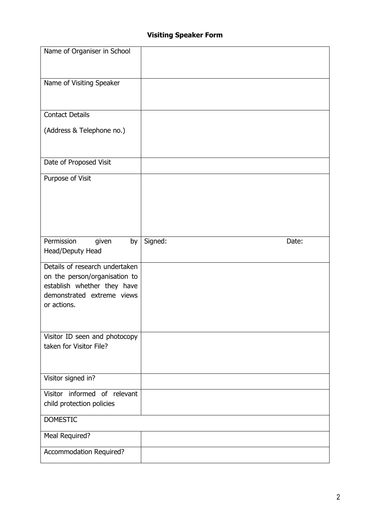## **Visiting Speaker Form**

| Name of Organiser in School                                  |                  |
|--------------------------------------------------------------|------------------|
|                                                              |                  |
|                                                              |                  |
| Name of Visiting Speaker                                     |                  |
|                                                              |                  |
|                                                              |                  |
| <b>Contact Details</b>                                       |                  |
| (Address & Telephone no.)                                    |                  |
|                                                              |                  |
|                                                              |                  |
| Date of Proposed Visit                                       |                  |
|                                                              |                  |
| Purpose of Visit                                             |                  |
|                                                              |                  |
|                                                              |                  |
|                                                              |                  |
|                                                              |                  |
| Permission<br>by<br>given                                    | Signed:<br>Date: |
| Head/Deputy Head                                             |                  |
| Details of research undertaken                               |                  |
|                                                              |                  |
|                                                              |                  |
| on the person/organisation to<br>establish whether they have |                  |
| demonstrated extreme views                                   |                  |
| or actions.                                                  |                  |
|                                                              |                  |
|                                                              |                  |
| Visitor ID seen and photocopy                                |                  |
| taken for Visitor File?                                      |                  |
|                                                              |                  |
|                                                              |                  |
| Visitor signed in?                                           |                  |
| Visitor informed of relevant                                 |                  |
| child protection policies                                    |                  |
| <b>DOMESTIC</b>                                              |                  |
| Meal Required?                                               |                  |
| Accommodation Required?                                      |                  |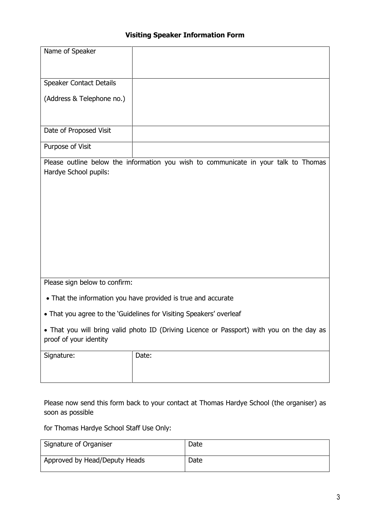### **Visiting Speaker Information Form**

| Speaker Contact Details                                                                                             |       |  |  |  |
|---------------------------------------------------------------------------------------------------------------------|-------|--|--|--|
|                                                                                                                     |       |  |  |  |
| (Address & Telephone no.)                                                                                           |       |  |  |  |
| Date of Proposed Visit                                                                                              |       |  |  |  |
| Purpose of Visit                                                                                                    |       |  |  |  |
| Please outline below the information you wish to communicate in your talk to Thomas<br>Hardye School pupils:        |       |  |  |  |
| Please sign below to confirm:                                                                                       |       |  |  |  |
| • That the information you have provided is true and accurate                                                       |       |  |  |  |
| • That you agree to the 'Guidelines for Visiting Speakers' overleaf                                                 |       |  |  |  |
| . That you will bring valid photo ID (Driving Licence or Passport) with you on the day as<br>proof of your identity |       |  |  |  |
| Signature:                                                                                                          | Date: |  |  |  |

Please now send this form back to your contact at Thomas Hardye School (the organiser) as soon as possible

for Thomas Hardye School Staff Use Only:

| Signature of Organiser        | Date |
|-------------------------------|------|
| Approved by Head/Deputy Heads | Date |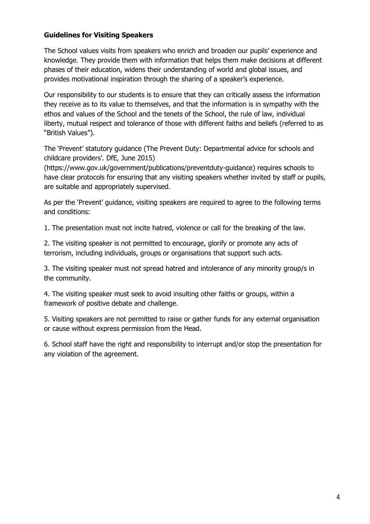#### **Guidelines for Visiting Speakers**

The School values visits from speakers who enrich and broaden our pupils' experience and knowledge. They provide them with information that helps them make decisions at different phases of their education, widens their understanding of world and global issues, and provides motivational inspiration through the sharing of a speaker's experience.

Our responsibility to our students is to ensure that they can critically assess the information they receive as to its value to themselves, and that the information is in sympathy with the ethos and values of the School and the tenets of the School, the rule of law, individual liberty, mutual respect and tolerance of those with different faiths and beliefs (referred to as "British Values").

The 'Prevent' statutory guidance (The Prevent Duty: Departmental advice for schools and childcare providers'. DfE, June 2015)

(https://www.gov.uk/government/publications/preventduty-guidance) requires schools to have clear protocols for ensuring that any visiting speakers whether invited by staff or pupils, are suitable and appropriately supervised.

As per the 'Prevent' guidance, visiting speakers are required to agree to the following terms and conditions:

1. The presentation must not incite hatred, violence or call for the breaking of the law.

2. The visiting speaker is not permitted to encourage, glorify or promote any acts of terrorism, including individuals, groups or organisations that support such acts.

3. The visiting speaker must not spread hatred and intolerance of any minority group/s in the community.

4. The visiting speaker must seek to avoid insulting other faiths or groups, within a framework of positive debate and challenge.

5. Visiting speakers are not permitted to raise or gather funds for any external organisation or cause without express permission from the Head.

6. School staff have the right and responsibility to interrupt and/or stop the presentation for any violation of the agreement.